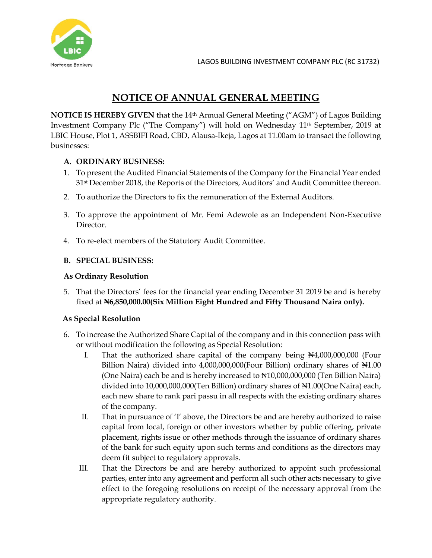

# **NOTICE OF ANNUAL GENERAL MEETING**

**NOTICE IS HEREBY GIVEN** that the 14<sup>th</sup> Annual General Meeting ("AGM") of Lagos Building Investment Company Plc ("The Company") will hold on Wednesday 11th September, 2019 at LBIC House, Plot 1, ASSBIFI Road, CBD, Alausa-Ikeja, Lagos at 11.00am to transact the following businesses:

### **A. ORDINARY BUSINESS:**

- 1. To present the Audited Financial Statements of the Company for the Financial Year ended 31st December 2018, the Reports of the Directors, Auditors' and Audit Committee thereon.
- 2. To authorize the Directors to fix the remuneration of the External Auditors.
- 3. To approve the appointment of Mr. Femi Adewole as an Independent Non-Executive Director.
- 4. To re-elect members of the Statutory Audit Committee.

### **B. SPECIAL BUSINESS:**

#### **As Ordinary Resolution**

5. That the Directors' fees for the financial year ending December 31 2019 be and is hereby fixed at **₦6,850,000.00(Six Million Eight Hundred and Fifty Thousand Naira only).**

#### **As Special Resolution**

- 6. To increase the Authorized Share Capital of the company and in this connection pass with or without modification the following as Special Resolution:
	- I. That the authorized share capital of the company being ₦4,000,000,000 (Four Billion Naira) divided into 4,000,000,000(Four Billion) ordinary shares of N1.00 (One Naira) each be and is hereby increased to ₦10,000,000,000 (Ten Billion Naira) divided into 10,000,000,000(Ten Billion) ordinary shares of ₦1.00(One Naira) each, each new share to rank pari passu in all respects with the existing ordinary shares of the company.
	- II. That in pursuance of 'I' above, the Directors be and are hereby authorized to raise capital from local, foreign or other investors whether by public offering, private placement, rights issue or other methods through the issuance of ordinary shares of the bank for such equity upon such terms and conditions as the directors may deem fit subject to regulatory approvals.
	- III. That the Directors be and are hereby authorized to appoint such professional parties, enter into any agreement and perform all such other acts necessary to give effect to the foregoing resolutions on receipt of the necessary approval from the appropriate regulatory authority.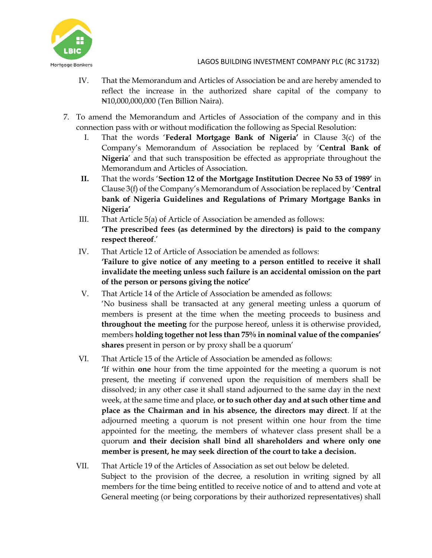

- IV. That the Memorandum and Articles of Association be and are hereby amended to reflect the increase in the authorized share capital of the company to ₦10,000,000,000 (Ten Billion Naira).
- 7. To amend the Memorandum and Articles of Association of the company and in this connection pass with or without modification the following as Special Resolution:
	- I. That the words '**Federal Mortgage Bank of Nigeria'** in Clause 3(c) of the Company's Memorandum of Association be replaced by '**Central Bank of Nigeria**' and that such transposition be effected as appropriate throughout the Memorandum and Articles of Association.
	- **II.** That the words '**Section 12 of the Mortgage Institution Decree No 53 of 1989'** in Clause 3(f) of the Company's Memorandum of Association be replaced by '**Central bank of Nigeria Guidelines and Regulations of Primary Mortgage Banks in Nigeria'**
	- III. That Article 5(a) of Article of Association be amended as follows:
		- **'The prescribed fees (as determined by the directors) is paid to the company respect thereof**.'
	- IV. That Article 12 of Article of Association be amended as follows: **'Failure to give notice of any meeting to a person entitled to receive it shall invalidate the meeting unless such failure is an accidental omission on the part of the person or persons giving the notice'**
	- V. That Article 14 of the Article of Association be amended as follows: 'No business shall be transacted at any general meeting unless a quorum of members is present at the time when the meeting proceeds to business and **throughout the meeting** for the purpose hereof, unless it is otherwise provided, members **holding together not less than 75% in nominal value of the companies' shares** present in person or by proxy shall be a quorum'
	- VI. That Article 15 of the Article of Association be amended as follows:
		- **'**If within **one** hour from the time appointed for the meeting a quorum is not present, the meeting if convened upon the requisition of members shall be dissolved; in any other case it shall stand adjourned to the same day in the next week, at the same time and place, **or to such other day and at such other time and place as the Chairman and in his absence, the directors may direct**. If at the adjourned meeting a quorum is not present within one hour from the time appointed for the meeting, the members of whatever class present shall be a quorum **and their decision shall bind all shareholders and where only one member is present, he may seek direction of the court to take a decision.**
	- VII. That Article 19 of the Articles of Association as set out below be deleted. Subject to the provision of the decree, a resolution in writing signed by all members for the time being entitled to receive notice of and to attend and vote at General meeting (or being corporations by their authorized representatives) shall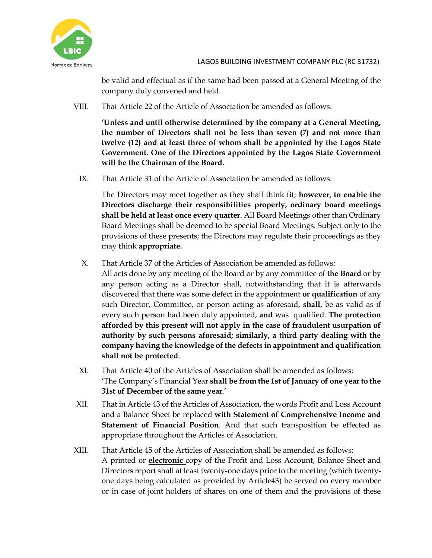

be valid and effectual as if the same had been passed at a General Meeting of the company duly convened and held.

VIII. That Article 22 of the Article of Association be amended as follows:

**'Unless and until otherwise determined by the company at a General Meeting, the number of Directors shall not be less than seven (7) and not more than twelve (12) and at least three of whom shall be appointed by the Lagos State Government. One of the Directors appointed by the Lagos State Government will be the Chairman of the Board.**

IX. That Article 31 of the Article of Association be amended as follows:

The Directors may meet together as they shall think fit; **however, to enable the Directors discharge their responsibilities properly, ordinary board meetings shall be held at least once every quarter**. All Board Meetings other than Ordinary Board Meetings shall be deemed to be special Board Meetings. Subject only to the provisions of these presents; the Directors may regulate their proceedings as they may think **appropriate.**

X. That Article 37 of the Articles of Association be amended as follows:

All acts done by any meeting of the Board or by any committee of **the Board** or by any person acting as a Director shall, notwithstanding that it is afterwards discovered that there was some defect in the appointment **or qualification** of any such Director, Committee, or person acting as aforesaid, **shall**, be as valid as if every such person had been duly appointed, **and** was qualified. **The protection afforded by this present will not apply in the case of fraudulent usurpation of authority by such persons aforesaid; similarly, a third party dealing with the company having the knowledge of the defects in appointment and qualification shall not be protected**.

- XI. That Article 40 of the Articles of Association shall be amended as follows: **'**The Company's Financial Year **shall be from the 1st of January of one year to the 31st of December of the same year**.'
- XII. That in Article 43 of the Articles of Association, the words Profit and Loss Account and a Balance Sheet be replaced **with Statement of Comprehensive Income and Statement of Financial Position**. And that such transposition be effected as appropriate throughout the Articles of Association.
- XIII. That Article 45 of the Articles of Association shall be amended as follows: A printed or **electronic** copy of the Profit and Loss Account, Balance Sheet and Directors report shall at least twenty-one days prior to the meeting (which twentyone days being calculated as provided by Article43) be served on every member or in case of joint holders of shares on one of them and the provisions of these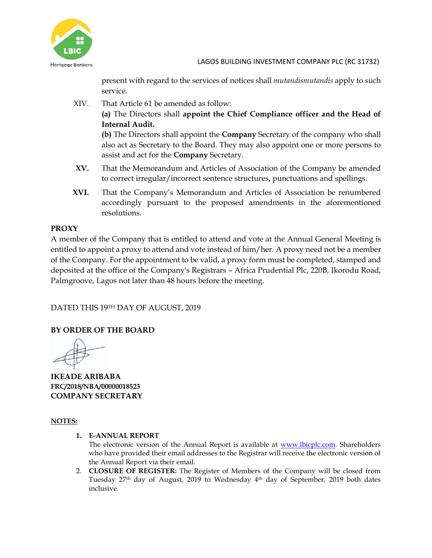

present with regard to the services of notices shall *mutandismutandis* apply to such service.

- XIV. That Article 61 be amended as follow: **(a)** The Directors shall **appoint the Chief Compliance officer and the Head of Internal Audit. (b)** The Directors shall appoint the **Company** Secretary of the company who shall also act as Secretary to the Board. They may also appoint one or more persons to assist and act for the **Company** Secretary.
- **XV.** That the Memorandum and Articles of Association of the Company be amended to correct irregular/incorrect sentence structures, punctuations and spellings.
- **XVI.** That the Company's Memorandum and Articles of Association be renumbered accordingly pursuant to the proposed amendments in the aforementioned resolutions.

# **PROXY**

A member of the Company that is entitled to attend and vote at the Annual General Meeting is entitled to appoint a proxy to attend and vote instead of him/her. A proxy need not be a member of the Company. For the appointment to be valid, a proxy form must be completed, stamped and deposited at the office of the Company's Registrars – Africa Prudential Plc, 220B, Ikorodu Road, Palmgroove, Lagos not later than 48 hours before the meeting.

DATED THIS 19TH DAY OF AUGUST, 2019

# **BY ORDER OF THE BOARD**

**IKEADE ARIBABA FRC/2018/NBA/00000018523 COMPANY SECRETARY**

#### **NOTES:**

**1. E-ANNUAL REPORT**

The electronic version of the Annual Report is available at [www.lbicplc.com.](http://www.lbicplc.com/) Shareholders who have provided their email addresses to the Registrar will receive the electronic version of the Annual Report via their email.

2. **CLOSURE OF REGISTER:** The Register of Members of the Company will be closed from Tuesday 27<sup>th</sup> day of August, 2019 to Wednesday 4<sup>th</sup> day of September, 2019 both dates inclusive.